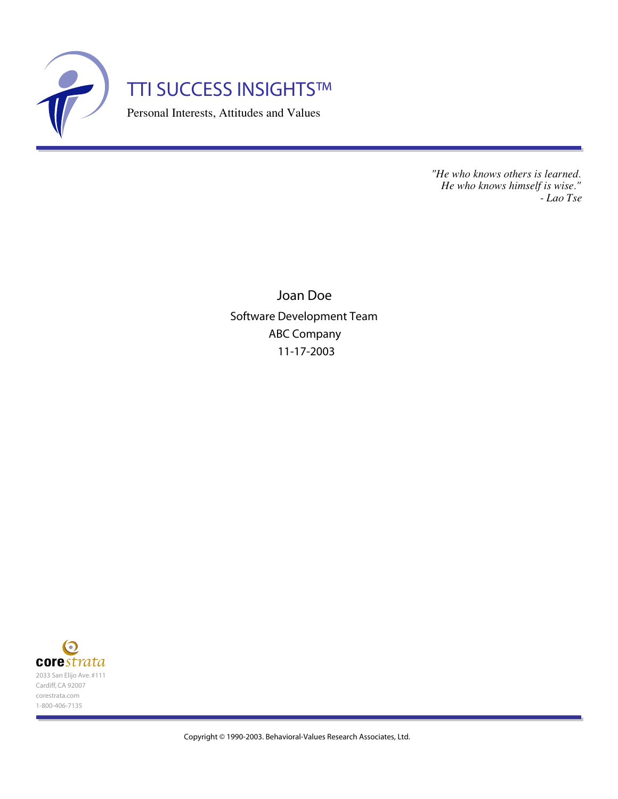

*"He who knows others is learned. He who knows himself is wise." - Lao Tse*

Joan Doe Software Development Team ABC Company 11-17-2003



Copyright © 1990-2003. Behavioral-Values Research Associates, Ltd.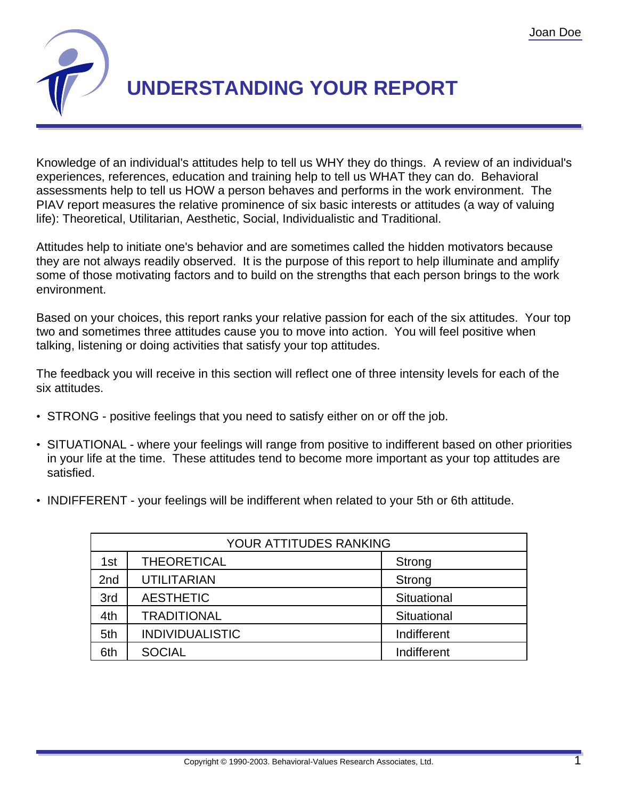

## **UNDERSTANDING YOUR REPORT**

Knowledge of an individual's attitudes help to tell us WHY they do things. A review of an individual's experiences, references, education and training help to tell us WHAT they can do. Behavioral assessments help to tell us HOW a person behaves and performs in the work environment. The PIAV report measures the relative prominence of six basic interests or attitudes (a way of valuing life): Theoretical, Utilitarian, Aesthetic, Social, Individualistic and Traditional.

Attitudes help to initiate one's behavior and are sometimes called the hidden motivators because they are not always readily observed. It is the purpose of this report to help illuminate and amplify some of those motivating factors and to build on the strengths that each person brings to the work environment.

Based on your choices, this report ranks your relative passion for each of the six attitudes. Your top two and sometimes three attitudes cause you to move into action. You will feel positive when talking, listening or doing activities that satisfy your top attitudes.

The feedback you will receive in this section will reflect one of three intensity levels for each of the six attitudes.

- STRONG positive feelings that you need to satisfy either on or off the job.
- SITUATIONAL where your feelings will range from positive to indifferent based on other priorities in your life at the time. These attitudes tend to become more important as your top attitudes are satisfied.
- INDIFFERENT your feelings will be indifferent when related to your 5th or 6th attitude.

| YOUR ATTITUDES RANKING |                        |             |  |
|------------------------|------------------------|-------------|--|
| 1st                    | <b>THEORETICAL</b>     | Strong      |  |
| 2nd                    | <b>UTILITARIAN</b>     | Strong      |  |
| 3rd                    | <b>AESTHETIC</b>       | Situational |  |
| 4th                    | <b>TRADITIONAL</b>     | Situational |  |
| 5th                    | <b>INDIVIDUALISTIC</b> | Indifferent |  |
| 6th                    | <b>SOCIAL</b>          | Indifferent |  |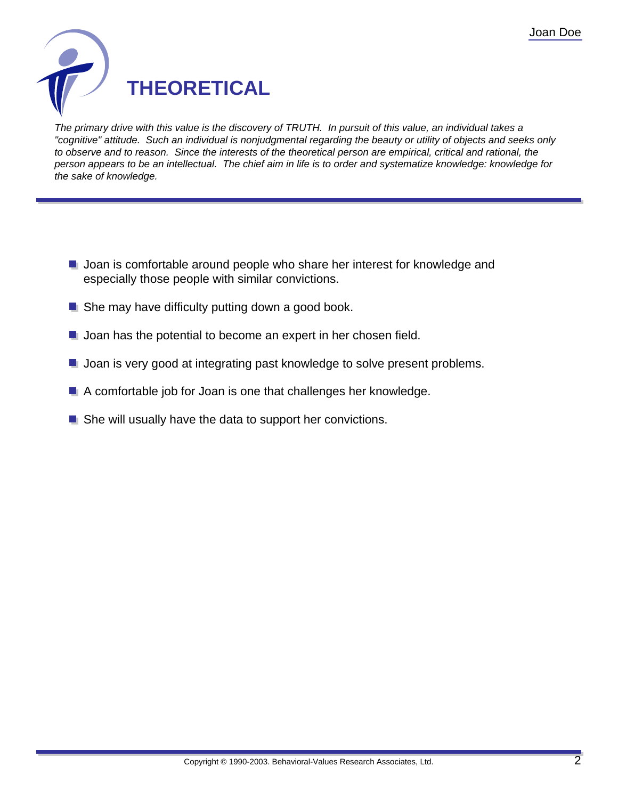

The primary drive with this value is the discovery of TRUTH. In pursuit of this value, an individual takes a "cognitive" attitude. Such an individual is nonjudgmental regarding the beauty or utility of objects and seeks only to observe and to reason. Since the interests of the theoretical person are empirical, critical and rational, the person appears to be an intellectual. The chief aim in life is to order and systematize knowledge: knowledge for the sake of knowledge.

- **Joan is comfortable around people who share her interest for knowledge and** especially those people with similar convictions.
- $\blacksquare$  She may have difficulty putting down a good book.
- **Joan has the potential to become an expert in her chosen field.**
- **Joan is very good at integrating past knowledge to solve present problems.**
- A comfortable job for Joan is one that challenges her knowledge.
- She will usually have the data to support her convictions.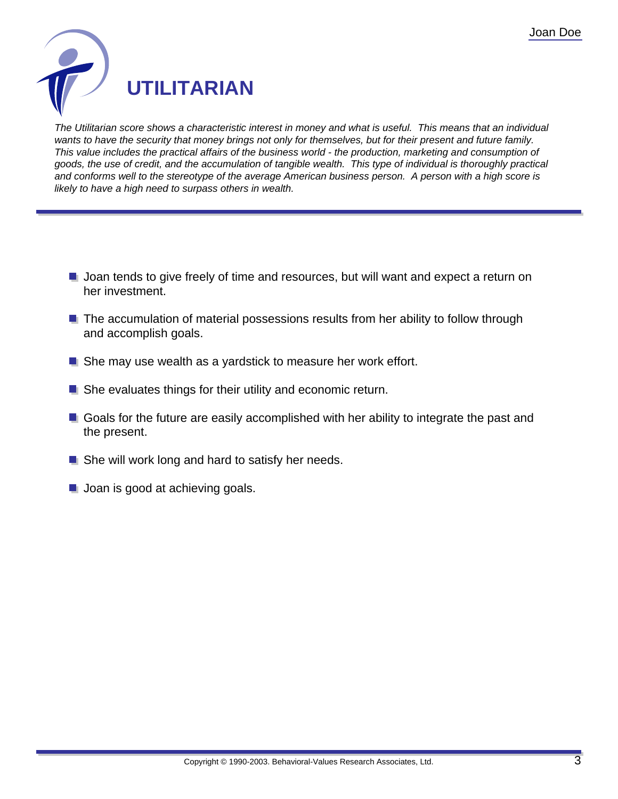

The Utilitarian score shows a characteristic interest in money and what is useful. This means that an individual wants to have the security that money brings not only for themselves, but for their present and future family. This value includes the practical affairs of the business world - the production, marketing and consumption of goods, the use of credit, and the accumulation of tangible wealth. This type of individual is thoroughly practical and conforms well to the stereotype of the average American business person. A person with a high score is likely to have a high need to surpass others in wealth.

- **Joan tends to give freely of time and resources, but will want and expect a return on** her investment.
- **The accumulation of material possessions results from her ability to follow through** and accomplish goals.
- She may use wealth as a yardstick to measure her work effort.
- **E** She evaluates things for their utility and economic return.
- Goals for the future are easily accomplished with her ability to integrate the past and the present.
- She will work long and hard to satisfy her needs.
- **Joan is good at achieving goals.**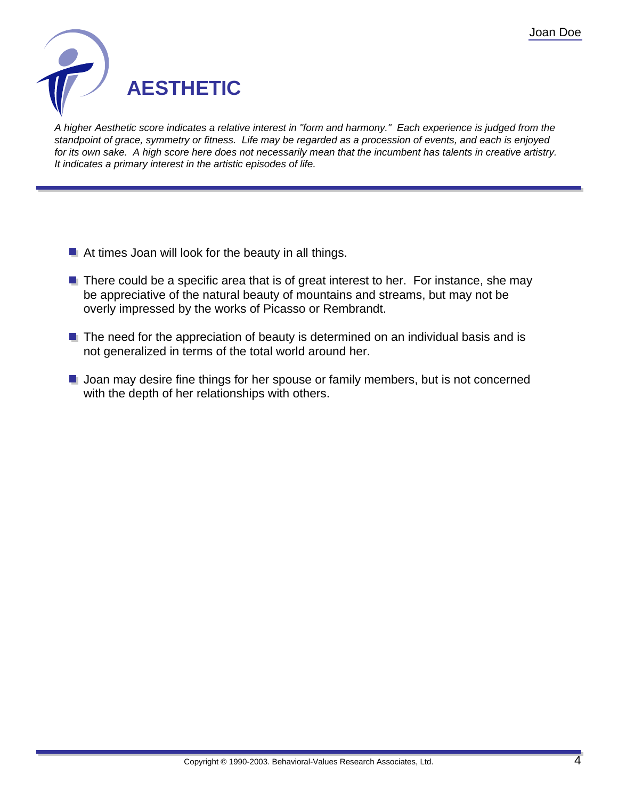

A higher Aesthetic score indicates a relative interest in "form and harmony." Each experience is judged from the standpoint of grace, symmetry or fitness. Life may be regarded as a procession of events, and each is enjoyed for its own sake. A high score here does not necessarily mean that the incumbent has talents in creative artistry. It indicates a primary interest in the artistic episodes of life.

- At times Joan will look for the beauty in all things.
- $\blacksquare$  There could be a specific area that is of great interest to her. For instance, she may be appreciative of the natural beauty of mountains and streams, but may not be overly impressed by the works of Picasso or Rembrandt.
- $\blacksquare$  The need for the appreciation of beauty is determined on an individual basis and is not generalized in terms of the total world around her.
- **Joan may desire fine things for her spouse or family members, but is not concerned** with the depth of her relationships with others.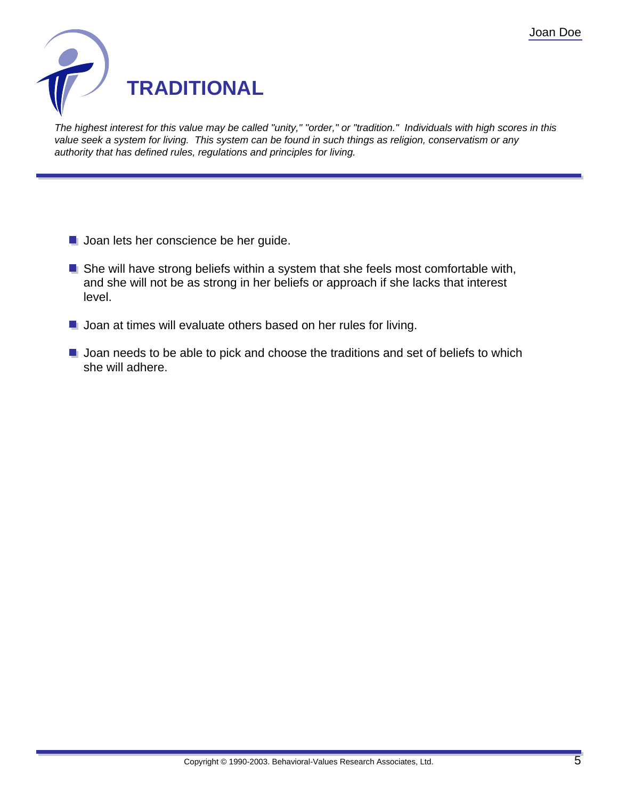

The highest interest for this value may be called "unity," "order," or "tradition." Individuals with high scores in this value seek a system for living. This system can be found in such things as religion, conservatism or any authority that has defined rules, regulations and principles for living.

- **Joan lets her conscience be her guide.**
- **She will have strong beliefs within a system that she feels most comfortable with,** and she will not be as strong in her beliefs or approach if she lacks that interest level.
- **Joan at times will evaluate others based on her rules for living.**
- **Joan needs to be able to pick and choose the traditions and set of beliefs to which** she will adhere.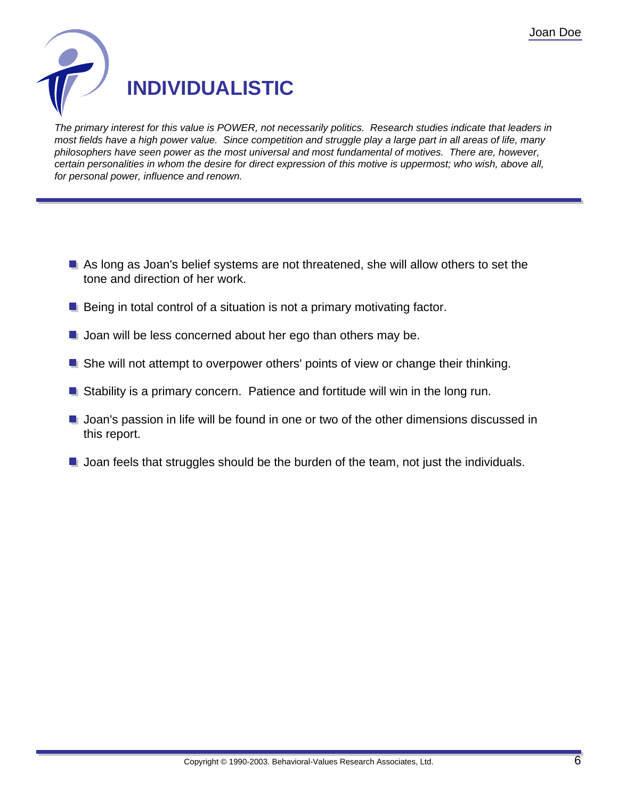

The primary interest for this value is POWER, not necessarily politics. Research studies indicate that leaders in most fields have a high power value. Since competition and struggle play a large part in all areas of life, many philosophers have seen power as the most universal and most fundamental of motives. There are, however, certain personalities in whom the desire for direct expression of this motive is uppermost; who wish, above all, for personal power, influence and renown.

- As long as Joan's belief systems are not threatened, she will allow others to set the tone and direction of her work.
- $\blacksquare$  Being in total control of a situation is not a primary motivating factor.
- **Joan will be less concerned about her ego than others may be.**
- **She will not attempt to overpower others' points of view or change their thinking.**
- Stability is a primary concern. Patience and fortitude will win in the long run.
- **Joan's passion in life will be found in one or two of the other dimensions discussed in** this report.
- **Joan feels that struggles should be the burden of the team, not just the individuals.**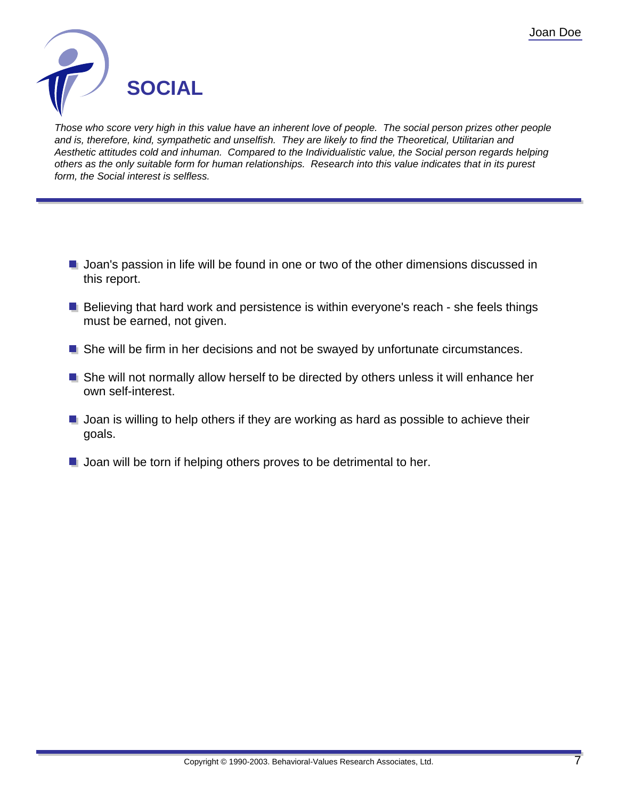

Those who score very high in this value have an inherent love of people. The social person prizes other people and is, therefore, kind, sympathetic and unselfish. They are likely to find the Theoretical, Utilitarian and Aesthetic attitudes cold and inhuman. Compared to the Individualistic value, the Social person regards helping others as the only suitable form for human relationships. Research into this value indicates that in its purest form, the Social interest is selfless.

- **Joan's passion in life will be found in one or two of the other dimensions discussed in** this report.
- $\blacksquare$  Believing that hard work and persistence is within everyone's reach she feels things must be earned, not given.
- She will be firm in her decisions and not be swayed by unfortunate circumstances.
- She will not normally allow herself to be directed by others unless it will enhance her own self-interest.
- $\blacksquare$  Joan is willing to help others if they are working as hard as possible to achieve their goals.
- **Joan will be torn if helping others proves to be detrimental to her.**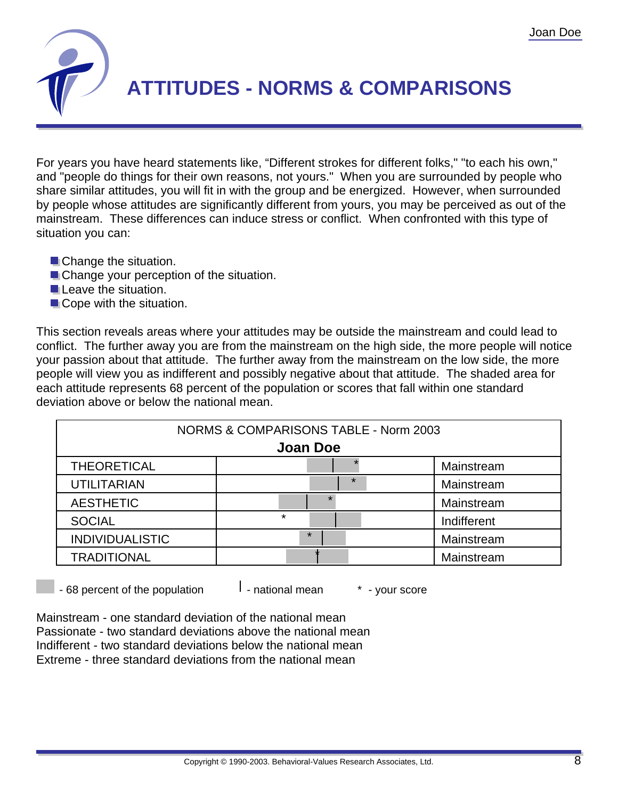

## **ATTITUDES - NORMS & COMPARISONS**

For years you have heard statements like, "Different strokes for different folks," "to each his own," and "people do things for their own reasons, not yours." When you are surrounded by people who share similar attitudes, you will fit in with the group and be energized. However, when surrounded by people whose attitudes are significantly different from yours, you may be perceived as out of the mainstream. These differences can induce stress or conflict. When confronted with this type of situation you can:

- **Change the situation.**
- **Change your perception of the situation.**
- **Leave the situation.**
- Cope with the situation.

This section reveals areas where your attitudes may be outside the mainstream and could lead to conflict. The further away you are from the mainstream on the high side, the more people will notice your passion about that attitude. The further away from the mainstream on the low side, the more people will view you as indifferent and possibly negative about that attitude. The shaded area for each attitude represents 68 percent of the population or scores that fall within one standard deviation above or below the national mean.

| NORMS & COMPARISONS TABLE - Norm 2003 |         |             |  |  |
|---------------------------------------|---------|-------------|--|--|
| <b>Joan Doe</b>                       |         |             |  |  |
| <b>THEORETICAL</b>                    |         | Mainstream  |  |  |
| <b>UTILITARIAN</b>                    | $\star$ | Mainstream  |  |  |
| <b>AESTHETIC</b>                      | $\star$ | Mainstream  |  |  |
| <b>SOCIAL</b>                         | $\star$ | Indifferent |  |  |
| <b>INDIVIDUALISTIC</b>                | $\star$ | Mainstream  |  |  |
| <b>TRADITIONAL</b>                    |         | Mainstream  |  |  |

 $-68$  percent of the population  $\vert$  - national mean  $\vert$   $\vert$  - your score

Mainstream - one standard deviation of the national mean Passionate - two standard deviations above the national mean Indifferent - two standard deviations below the national mean Extreme - three standard deviations from the national mean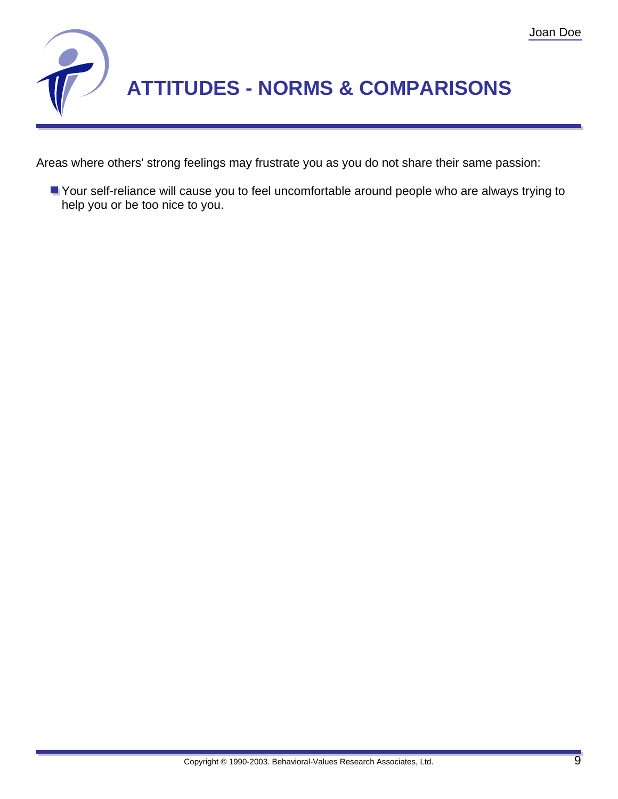

Areas where others' strong feelings may frustrate you as you do not share their same passion:

Your self-reliance will cause you to feel uncomfortable around people who are always trying to help you or be too nice to you.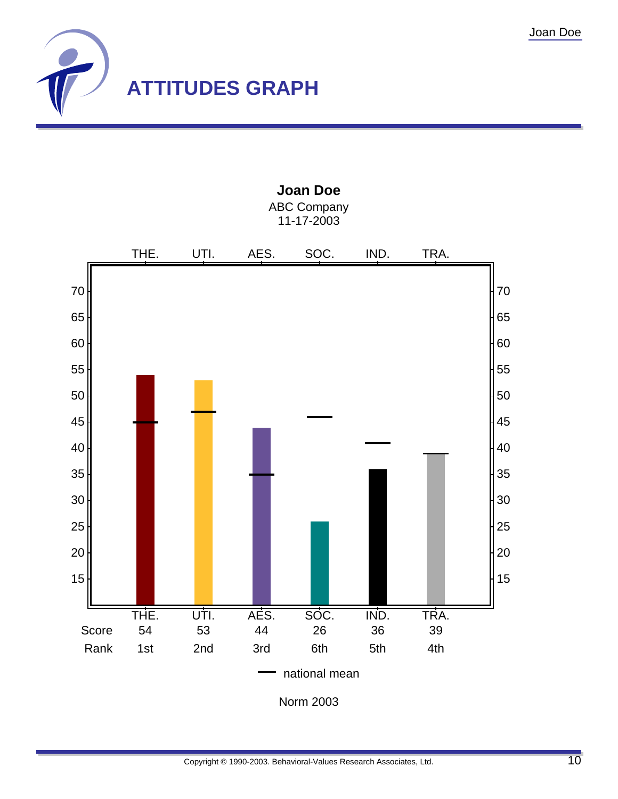



**Joan Doe** ABC Company